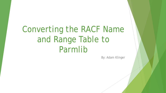# Converting the RACF Name and Range Table to Parmlib

By: Adam Klinger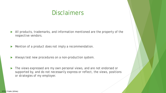### **Disclaimers**

- All products, trademarks, and information mentioned are the property of the respective vendors.
- Mention of a product does not imply a recommendation.
- Always test new procedures on a non-production system.
- The views expressed are my own personal views, and are not endorsed or supported by, and do not necessarily express or reflect, the views, positions or strategies of my employer.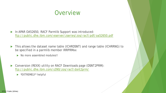#### **Overview**

- In APAR OA52650, RACF Parmlib Support was introduced: <ftp://public.dhe.ibm.com/eserver/zseries/zos/racf/pdf/oa52650.pdf>
- ▶ This allows the dataset name table (ICHRDSNT) and range table (ICHRRNG) to be specified in a parmlib member IRRPRMxx
	- No more assembled modules!!
- Conversion (REXX) utility on RACF Downloads page (DSNT2PRM): <ftp://public.dhe.ibm.com/s390/zos/racf/dsnt2prm/>
	- EXTREMELY\* helpful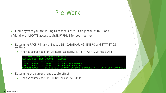#### Pre-Work

Find a system you are willing to test this with - things \*could\* fail - and a friend with UPDATE access to SYS1.PARMLIB for your journey

- Determine RACF Primary / Backup DB, DATASHARING, ENTRY, and STATISTICS settings.
	- Find the source code for ICHRDSNT, use DSNT2PRM, or "RVARY LIST" (no STAT):

|  | ICH15013I RACF DATABASE STATUS: |                                                                       |  |  |
|--|---------------------------------|-----------------------------------------------------------------------|--|--|
|  |                                 | ACTIVE USE NUM VOLUME DATASET                                         |  |  |
|  |                                 |                                                                       |  |  |
|  |                                 | YES PRIM 1 DBVOL1 MY.RACFDB.PRIMARY                                   |  |  |
|  |                                 | YES BACK 1 DBVOL2 MY RACFDB BACKUP                                    |  |  |
|  |                                 | MEMBER XXXX IS SYSPLEX COMMUNICATIONS ENABLED & IN DATA SHARING MODE. |  |  |

- Determine the current range table offset
	- Find the source code for ICHRRNG or use DSNT2PRM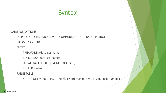

DATABASE\_OPTIONS

SYSPLEX(NOCOMMUNICATIONS | COMMUNICATIONS | DATASHARING)

DATASETNAMETABLE

ENTRY

PRIMARYDSN(*data-set-name*)

BACKUPDSN(*data-set-name*)

UPDATEBACKUP(ALL | NONE | NOSTATS)

BUFFERS(*value*)

RANGETABLE

START(*start-value* [CHAR | HEX]) ENTRYNUMBER(*entry-sequence-number*)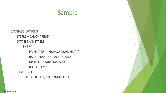#### Sample

DATABASE\_OPTIONS SYSPLEX(DATASHARING) DATASETNAMETABLE ENTRY PRIMARYDSN('MY.RACFDB.PRIMARY') BACKUPDSN('MY.RACFDB.BACKUP') UPDATEBACKUP(NOSTATS) BUFFERS(255) RANGETABLE

START('00' HEX) ENTRYNUMBER(1)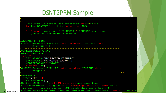#### DSNT2PRM Sample

```
- This PARMLIB member was generated on 09/14/18
  by the DSNT2PRM utility on system XXXX.
   In-Storage version of ICHRDSNT & ICHRRNG were used
  to generate this PARMLIB member.
                DATABASE OPTIONS
DCU004I Generate PARMLIB data based on ICHRDSNT data.
SYSPLEX(DATASHARING)
DATASETNAMETABLE
 ENTRY
   PRIMARYDSN('MY.RACFDB.PRIMARY')
   BACKUPDSN ('MY. RACFDB. BACKUP')
   UPDATEBACKUP (NOSTATS)
   BUFFERS (255)
DCU005I Generate PARMLIB data based on ICHRRNG data.
     . . . . . . .
RANGETABLE
 START ('00' HEX)
   ENTRYNUMBER(1)
DCU103I INFO: No OUTPUT data set was specified.
DCU104W WARNING: Using current in-storage Data Set Name Table
 values. These values may NOT match what you IPLed with.
DCU002W Successful execution of DSNT2PRM, with WARNINGS! Return code = 4
```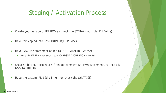## Staging / Activation Process

- Create your version of IRRPRMee check the SYNTAX (multiple IEHIBALLs)
- Have this copied into SYS1.PARMLIB(IRRPRMee)
- Have RACF=ee statement added to SYS1.PARMLIB(IEASYSee)
	- ▶ Note: PARMLIB values supersede ICHRDSNT / ICHRRNG contents!
- ▶ Create a backout procedure if needed (remove RACF=ee statement, re-IPL to fall back to LINKLIB)
- Have the system IPL'd (did I mention check the SYNTAX?!)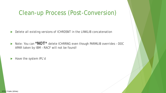## Clean-up Process (Post-Conversion)

Delete all existing versions of ICHRDSNT in the LINKLIB concatenation

▶ Note: You can \*NOT\* delete ICHRRNG even though PARMLIB overrides - DOC APAR taken by IBM – RACF will not be found!

Have the system IPL'd